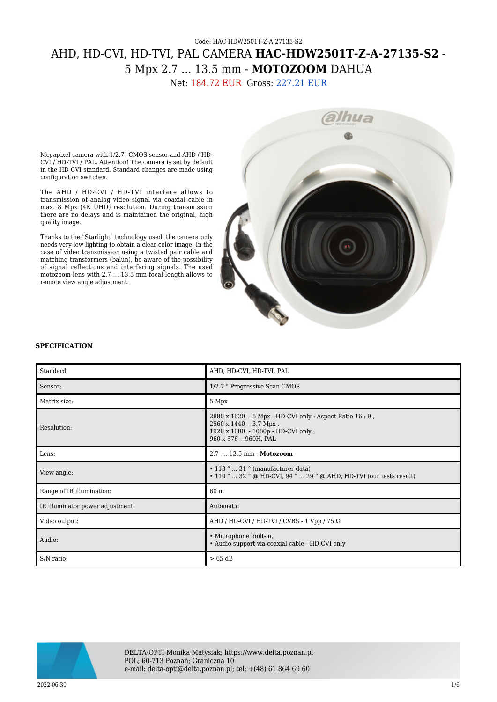## Code: HAC-HDW2501T-Z-A-27135-S2 AHD, HD-CVI, HD-TVI, PAL CAMERA **HAC-HDW2501T-Z-A-27135-S2** - 5 Mpx 2.7 ... 13.5 mm - **MOTOZOOM** DAHUA

Net: 184.72 EUR Gross: 227.21 EUR

Megapixel camera with 1/2.7" CMOS sensor and AHD / HD-CVI / HD-TVI / PAL. Attention! The camera is set by default in the HD-CVI standard. Standard changes are made using configuration switches.

The AHD / HD-CVI / HD-TVI interface allows to transmission of analog video signal via coaxial cable in max. 8 Mpx (4K UHD) resolution. During transmission there are no delays and is maintained the original, high quality image.

Thanks to the "Starlight" technology used, the camera only needs very low lighting to obtain a clear color image. In the case of video transmission using a twisted pair cable and matching transformers (balun), be aware of the possibility of signal reflections and interfering signals. The used motozoom lens with 2.7 ... 13.5 mm focal length allows to remote view angle adjustment.



## **SPECIFICATION**

| Standard:                        | AHD, HD-CVI, HD-TVI, PAL                                                                                                                          |
|----------------------------------|---------------------------------------------------------------------------------------------------------------------------------------------------|
| Sensor:                          | 1/2.7 " Progressive Scan CMOS                                                                                                                     |
| Matrix size:                     | 5 Mpx                                                                                                                                             |
| Resolution:                      | 2880 x 1620 - 5 Mpx - HD-CVI only : Aspect Ratio 16 : 9,<br>2560 x 1440 - 3.7 Mpx,<br>1920 x 1080 - 1080p - HD-CVI only,<br>960 x 576 - 960H, PAL |
| Lens:                            | 2.7  13.5 mm - Motozoom                                                                                                                           |
| View angle:                      | $\cdot$ 113 °  31 ° (manufacturer data)<br>$\cdot$ 110 °  32 ° @ HD-CVI, 94 °  29 ° @ AHD, HD-TVI (our tests result)                              |
| Range of IR illumination:        | 60 <sub>m</sub>                                                                                                                                   |
| IR illuminator power adjustment: | Automatic                                                                                                                                         |
| Video output:                    | AHD / HD-CVI / HD-TVI / CVBS - 1 Vpp / 75 $\Omega$                                                                                                |
| Audio:                           | • Microphone built-in,<br>• Audio support via coaxial cable - HD-CVI only                                                                         |
| S/N ratio:                       | >65 dB                                                                                                                                            |



DELTA-OPTI Monika Matysiak; https://www.delta.poznan.pl POL; 60-713 Poznań; Graniczna 10 e-mail: delta-opti@delta.poznan.pl; tel: +(48) 61 864 69 60

 $2022{\cdot}06{\cdot}30$  and the set of the set of the set of the set of the set of the set of the set of the set of the set of the set of the set of the set of the set of the set of the set of the set of the set of the set of th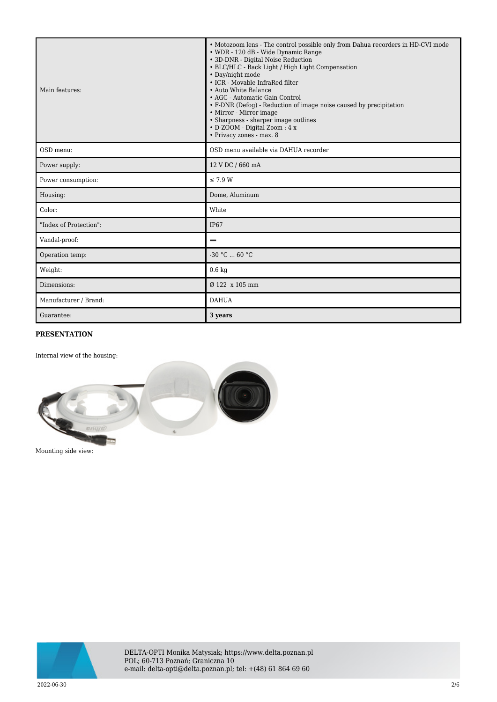| Main features:         | • Motozoom lens - The control possible only from Dahua recorders in HD-CVI mode<br>• WDR - 120 dB - Wide Dynamic Range<br>• 3D-DNR - Digital Noise Reduction<br>• BLC/HLC - Back Light / High Light Compensation<br>• Day/night mode<br>• ICR - Movable InfraRed filter<br>• Auto White Balance<br>• AGC - Automatic Gain Control<br>• F-DNR (Defog) - Reduction of image noise caused by precipitation<br>• Mirror - Mirror image<br>• Sharpness - sharper image outlines<br>• D-ZOOM - Digital Zoom : 4 x<br>• Privacy zones - max. 8 |
|------------------------|-----------------------------------------------------------------------------------------------------------------------------------------------------------------------------------------------------------------------------------------------------------------------------------------------------------------------------------------------------------------------------------------------------------------------------------------------------------------------------------------------------------------------------------------|
| OSD menu:              | OSD menu available via DAHUA recorder                                                                                                                                                                                                                                                                                                                                                                                                                                                                                                   |
| Power supply:          | 12 V DC / 660 mA                                                                                                                                                                                                                                                                                                                                                                                                                                                                                                                        |
| Power consumption:     | $\leq$ 7.9 W                                                                                                                                                                                                                                                                                                                                                                                                                                                                                                                            |
| Housing:               | Dome, Aluminum                                                                                                                                                                                                                                                                                                                                                                                                                                                                                                                          |
| Color:                 | White                                                                                                                                                                                                                                                                                                                                                                                                                                                                                                                                   |
| "Index of Protection": | <b>IP67</b>                                                                                                                                                                                                                                                                                                                                                                                                                                                                                                                             |
| Vandal-proof:          |                                                                                                                                                                                                                                                                                                                                                                                                                                                                                                                                         |
| Operation temp:        | $-30 °C$ 60 °C                                                                                                                                                                                                                                                                                                                                                                                                                                                                                                                          |
| Weight:                | $0.6\ \mathrm{kg}$                                                                                                                                                                                                                                                                                                                                                                                                                                                                                                                      |
| Dimensions:            | Ø 122 x 105 mm                                                                                                                                                                                                                                                                                                                                                                                                                                                                                                                          |
| Manufacturer / Brand:  | <b>DAHUA</b>                                                                                                                                                                                                                                                                                                                                                                                                                                                                                                                            |
| Guarantee:             | 3 years                                                                                                                                                                                                                                                                                                                                                                                                                                                                                                                                 |

## **PRESENTATION**

Internal view of the housing:



Mounting side view:

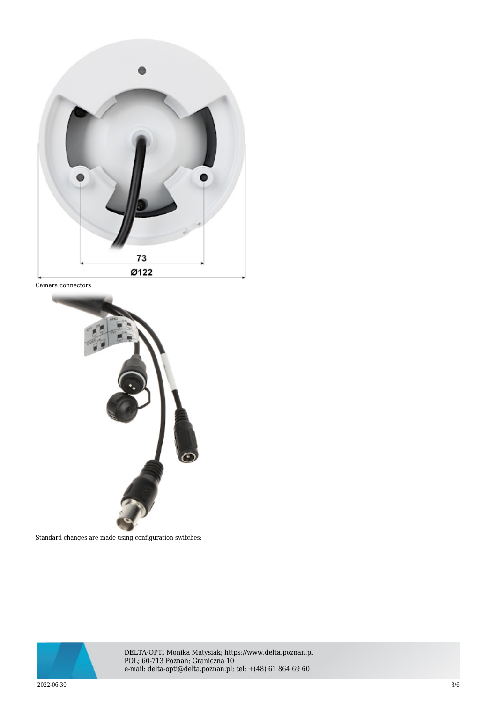

Camera connectors:



Standard changes are made using configuration switches:



DELTA-OPTI Monika Matysiak; https://www.delta.poznan.pl POL; 60-713 Poznań; Graniczna 10 e-mail: delta-opti@delta.poznan.pl; tel: +(48) 61 864 69 60

 $2022{\cdot}06{\cdot}30$   $3/6$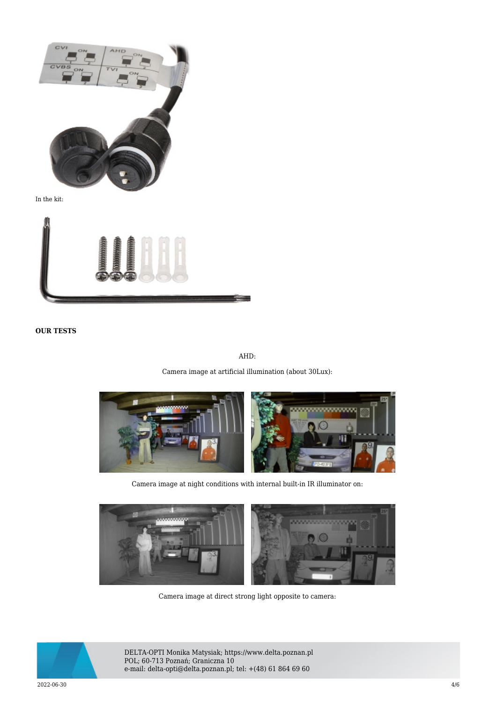

In the kit:



**OUR TESTS**

AHD:

Camera image at artificial illumination (about 30Lux):



Camera image at night conditions with internal built-in IR illuminator on:



Camera image at direct strong light opposite to camera:



DELTA-OPTI Monika Matysiak; https://www.delta.poznan.pl POL; 60-713 Poznań; Graniczna 10 e-mail: delta-opti@delta.poznan.pl; tel: +(48) 61 864 69 60

 $2022{\cdot}06{\cdot}30$  and  $4/6$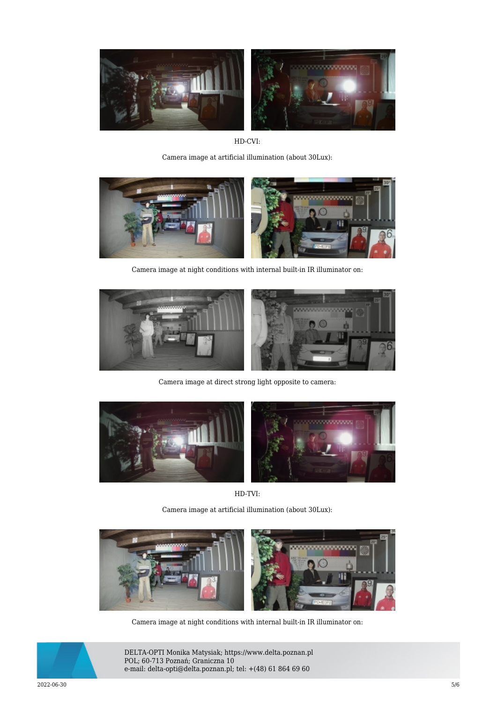

HD-CVI:

Camera image at artificial illumination (about 30Lux):



Camera image at night conditions with internal built-in IR illuminator on:



Camera image at direct strong light opposite to camera:



HD-TVI:

Camera image at artificial illumination (about 30Lux):



Camera image at night conditions with internal built-in IR illuminator on:



DELTA-OPTI Monika Matysiak; https://www.delta.poznan.pl POL; 60-713 Poznań; Graniczna 10 e-mail: delta-opti@delta.poznan.pl; tel: +(48) 61 864 69 60

 $2022{\cdot}06{\cdot}30$   $5/6$